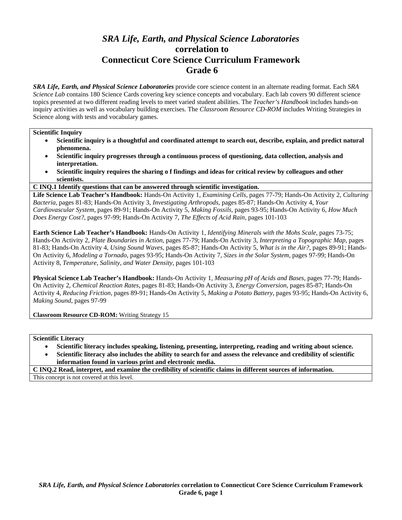# *SRA Life, Earth, and Physical Science Laboratories*  **correlation to Connecticut Core Science Curriculum Framework Grade 6**

*SRA Life, Earth, and Physical Science Laboratories* provide core science content in an alternate reading format. Each *SRA Science Lab* contains 180 Science Cards covering key science concepts and vocabulary. Each lab covers 90 different science topics presented at two different reading levels to meet varied student abilities. The *Teacher's Handbook* includes hands-on inquiry activities as well as vocabulary building exercises. The *Classroom Resource CD-ROM* includes Writing Strategies in Science along with tests and vocabulary games.

#### **Scientific Inquiry**

- **Scientific inquiry is a thoughtful and coordinated attempt to search out, describe, explain, and predict natural phenomena.**
- **Scientific inquiry progresses through a continuous process of questioning, data collection, analysis and interpretation.**
- **Scientific inquiry requires the sharing o f findings and ideas for critical review by colleagues and other scientists.**
- **C INQ.1 Identify questions that can be answered through scientific investigation.**

**Life Science Lab Teacher's Handbook:** Hands-On Activity 1, *Examining Cells,* pages 77-79; Hands-On Activity 2, *Culturing Bacteria,* pages 81-83; Hands-On Activity 3, *Investigating Arthropods,* pages 85-87; Hands-On Activity 4, *Your Cardiovascular System,* pages 89-91; Hands-On Activity 5, *Making Fossils,* pages 93-95; Hands-On Activity 6, *How Much Does Energy Cost?,* pages 97-99; Hands-On Activity 7, *The Effects of Acid Rain,* pages 101-103

**Earth Science Lab Teacher's Handbook:** Hands-On Activity 1, *Identifying Minerals with the Mohs Scale,* pages 73-75; Hands-On Activity 2, *Plate Boundaries in Action,* pages 77-79; Hands-On Activity 3, *Interpreting a Topographic Map,* pages 81-83; Hands-On Activity 4, *Using Sound Waves,* pages 85-87; Hands-On Activity 5, *What is in the Air?,* pages 89-91; Hands-On Activity 6, *Modeling a Tornado,* pages 93-95; Hands-On Activity 7, *Sizes in the Solar System,* pages 97-99; Hands-On Activity 8, *Temperature, Salinity, and Water Density,* pages 101-103

**Physical Science Lab Teacher's Handbook:** Hands-On Activity 1, *Measuring pH of Acids and Bases,* pages 77-79; Hands-On Activity 2, *Chemical Reaction Rates,* pages 81-83; Hands-On Activity 3, *Energy Conversion,* pages 85-87; Hands-On Activity 4, *Reducing Friction,* pages 89-91; Hands-On Activity 5, *Making a Potato Battery,* pages 93-95; Hands-On Activity 6, *Making Sound,* pages 97-99

**Classroom Resource CD-ROM:** Writing Strategy 15

**Scientific Literacy** 

- **Scientific literacy includes speaking, listening, presenting, interpreting, reading and writing about science.**
- **Scientific literacy also includes the ability to search for and assess the relevance and credibility of scientific information found in various print and electronic media.**

**C INQ.2 Read, interpret, and examine the credibility of scientific claims in different sources of information.**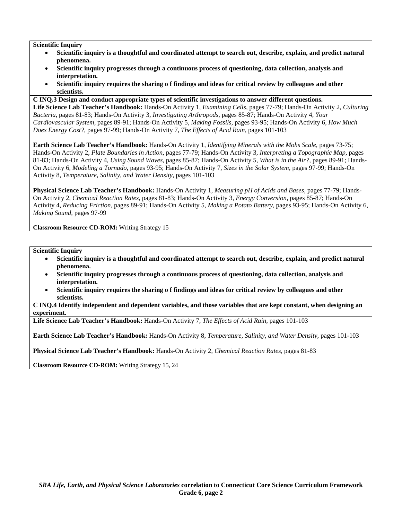- **Scientific inquiry is a thoughtful and coordinated attempt to search out, describe, explain, and predict natural phenomena.**
- **Scientific inquiry progresses through a continuous process of questioning, data collection, analysis and interpretation.**
- **Scientific inquiry requires the sharing o f findings and ideas for critical review by colleagues and other scientists.**
- **C INQ.3 Design and conduct appropriate types of scientific investigations to answer different questions.**

**Life Science Lab Teacher's Handbook:** Hands-On Activity 1, *Examining Cells,* pages 77-79; Hands-On Activity 2, *Culturing Bacteria,* pages 81-83; Hands-On Activity 3, *Investigating Arthropods,* pages 85-87; Hands-On Activity 4, *Your Cardiovascular System,* pages 89-91; Hands-On Activity 5, *Making Fossils,* pages 93-95; Hands-On Activity 6, *How Much Does Energy Cost?,* pages 97-99; Hands-On Activity 7, *The Effects of Acid Rain,* pages 101-103

**Earth Science Lab Teacher's Handbook:** Hands-On Activity 1, *Identifying Minerals with the Mohs Scale,* pages 73-75; Hands-On Activity 2, *Plate Boundaries in Action,* pages 77-79; Hands-On Activity 3, *Interpreting a Topographic Map,* pages 81-83; Hands-On Activity 4, *Using Sound Waves,* pages 85-87; Hands-On Activity 5, *What is in the Air?,* pages 89-91; Hands-On Activity 6, *Modeling a Tornado,* pages 93-95; Hands-On Activity 7, *Sizes in the Solar System,* pages 97-99; Hands-On Activity 8, *Temperature, Salinity, and Water Density,* pages 101-103

**Physical Science Lab Teacher's Handbook:** Hands-On Activity 1, *Measuring pH of Acids and Bases,* pages 77-79; Hands-On Activity 2, *Chemical Reaction Rates,* pages 81-83; Hands-On Activity 3, *Energy Conversion,* pages 85-87; Hands-On Activity 4, *Reducing Friction,* pages 89-91; Hands-On Activity 5, *Making a Potato Battery,* pages 93-95; Hands-On Activity 6, *Making Sound,* pages 97-99

**Classroom Resource CD-ROM:** Writing Strategy 15

**Scientific Inquiry** 

- **Scientific inquiry is a thoughtful and coordinated attempt to search out, describe, explain, and predict natural phenomena.**
- **Scientific inquiry progresses through a continuous process of questioning, data collection, analysis and interpretation.**
- **Scientific inquiry requires the sharing o f findings and ideas for critical review by colleagues and other scientists.**

**C INQ.4 Identify independent and dependent variables, and those variables that are kept constant, when designing an experiment.** 

**Life Science Lab Teacher's Handbook:** Hands-On Activity 7, *The Effects of Acid Rain,* pages 101-103

**Earth Science Lab Teacher's Handbook:** Hands-On Activity 8, *Temperature, Salinity, and Water Density,* pages 101-103

**Physical Science Lab Teacher's Handbook:** Hands-On Activity 2, *Chemical Reaction Rates,* pages 81-83

**Classroom Resource CD-ROM:** Writing Strategy 15, 24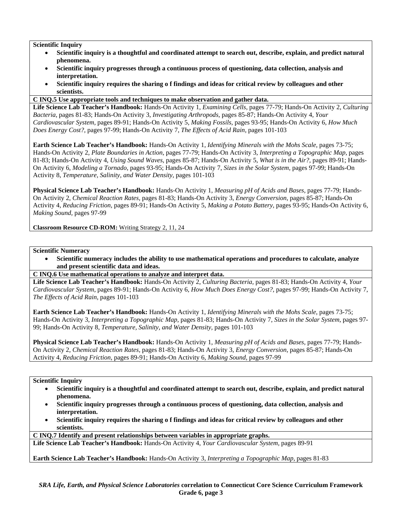- **Scientific inquiry is a thoughtful and coordinated attempt to search out, describe, explain, and predict natural phenomena.**
- **Scientific inquiry progresses through a continuous process of questioning, data collection, analysis and interpretation.**
- **Scientific inquiry requires the sharing o f findings and ideas for critical review by colleagues and other scientists.**

## **C INQ.5 Use appropriate tools and techniques to make observation and gather data.**

**Life Science Lab Teacher's Handbook:** Hands-On Activity 1, *Examining Cells,* pages 77-79; Hands-On Activity 2, *Culturing Bacteria,* pages 81-83; Hands-On Activity 3, *Investigating Arthropods,* pages 85-87; Hands-On Activity 4, *Your Cardiovascular System,* pages 89-91; Hands-On Activity 5, *Making Fossils,* pages 93-95; Hands-On Activity 6, *How Much Does Energy Cost?,* pages 97-99; Hands-On Activity 7, *The Effects of Acid Rain,* pages 101-103

**Earth Science Lab Teacher's Handbook:** Hands-On Activity 1, *Identifying Minerals with the Mohs Scale,* pages 73-75; Hands-On Activity 2, *Plate Boundaries in Action,* pages 77-79; Hands-On Activity 3, *Interpreting a Topographic Map,* pages 81-83; Hands-On Activity 4, *Using Sound Waves,* pages 85-87; Hands-On Activity 5, *What is in the Air?,* pages 89-91; Hands-On Activity 6, *Modeling a Tornado,* pages 93-95; Hands-On Activity 7, *Sizes in the Solar System,* pages 97-99; Hands-On Activity 8, *Temperature, Salinity, and Water Density,* pages 101-103

**Physical Science Lab Teacher's Handbook:** Hands-On Activity 1, *Measuring pH of Acids and Bases,* pages 77-79; Hands-On Activity 2, *Chemical Reaction Rates,* pages 81-83; Hands-On Activity 3, *Energy Conversion,* pages 85-87; Hands-On Activity 4, *Reducing Friction,* pages 89-91; Hands-On Activity 5, *Making a Potato Battery,* pages 93-95; Hands-On Activity 6, *Making Sound,* pages 97-99

**Classroom Resource CD-ROM:** Writing Strategy 2, 11, 24

## **Scientific Numeracy**

- **Scientific numeracy includes the ability to use mathematical operations and procedures to calculate, analyze and present scientific data and ideas.**
- **C INQ.6 Use mathematical operations to analyze and interpret data.**

**Life Science Lab Teacher's Handbook:** Hands-On Activity 2, *Culturing Bacteria,* pages 81-83; Hands-On Activity 4, *Your Cardiovascular System,* pages 89-91; Hands-On Activity 6, *How Much Does Energy Cost?,* pages 97-99; Hands-On Activity 7, *The Effects of Acid Rain,* pages 101-103

**Earth Science Lab Teacher's Handbook:** Hands-On Activity 1, *Identifying Minerals with the Mohs Scale,* pages 73-75; Hands-On Activity 3, *Interpreting a Topographic Map,* pages 81-83; Hands-On Activity 7, *Sizes in the Solar System,* pages 97- 99; Hands-On Activity 8, *Temperature, Salinity, and Water Density,* pages 101-103

**Physical Science Lab Teacher's Handbook:** Hands-On Activity 1, *Measuring pH of Acids and Bases,* pages 77-79; Hands-On Activity 2, *Chemical Reaction Rates,* pages 81-83; Hands-On Activity 3, *Energy Conversion,* pages 85-87; Hands-On Activity 4, *Reducing Friction,* pages 89-91; Hands-On Activity 6, *Making Sound,* pages 97-99

## **Scientific Inquiry**

- **Scientific inquiry is a thoughtful and coordinated attempt to search out, describe, explain, and predict natural phenomena.**
- **Scientific inquiry progresses through a continuous process of questioning, data collection, analysis and interpretation.**
- **Scientific inquiry requires the sharing o f findings and ideas for critical review by colleagues and other scientists.**

**C INQ.7 Identify and present relationships between variables in appropriate graphs.** 

**Life Science Lab Teacher's Handbook:** Hands-On Activity 4, *Your Cardiovascular System,* pages 89-91

**Earth Science Lab Teacher's Handbook:** Hands-On Activity 3, *Interpreting a Topographic Map,* pages 81-83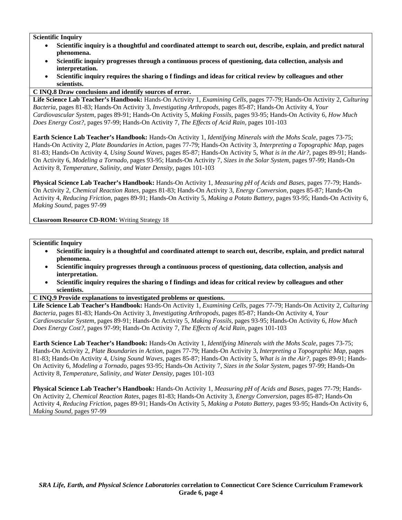- **Scientific inquiry is a thoughtful and coordinated attempt to search out, describe, explain, and predict natural phenomena.**
- **Scientific inquiry progresses through a continuous process of questioning, data collection, analysis and interpretation.**
- **Scientific inquiry requires the sharing o f findings and ideas for critical review by colleagues and other scientists.**

## **C INQ.8 Draw conclusions and identify sources of error.**

**Life Science Lab Teacher's Handbook:** Hands-On Activity 1, *Examining Cells,* pages 77-79; Hands-On Activity 2, *Culturing Bacteria,* pages 81-83; Hands-On Activity 3, *Investigating Arthropods,* pages 85-87; Hands-On Activity 4, *Your Cardiovascular System,* pages 89-91; Hands-On Activity 5, *Making Fossils,* pages 93-95; Hands-On Activity 6, *How Much Does Energy Cost?,* pages 97-99; Hands-On Activity 7, *The Effects of Acid Rain,* pages 101-103

**Earth Science Lab Teacher's Handbook:** Hands-On Activity 1, *Identifying Minerals with the Mohs Scale,* pages 73-75; Hands-On Activity 2, *Plate Boundaries in Action,* pages 77-79; Hands-On Activity 3, *Interpreting a Topographic Map,* pages 81-83; Hands-On Activity 4, *Using Sound Waves,* pages 85-87; Hands-On Activity 5, *What is in the Air?,* pages 89-91; Hands-On Activity 6, *Modeling a Tornado,* pages 93-95; Hands-On Activity 7, *Sizes in the Solar System,* pages 97-99; Hands-On Activity 8, *Temperature, Salinity, and Water Density,* pages 101-103

**Physical Science Lab Teacher's Handbook:** Hands-On Activity 1, *Measuring pH of Acids and Bases,* pages 77-79; Hands-On Activity 2, *Chemical Reaction Rates,* pages 81-83; Hands-On Activity 3, *Energy Conversion,* pages 85-87; Hands-On Activity 4, *Reducing Friction,* pages 89-91; Hands-On Activity 5, *Making a Potato Battery,* pages 93-95; Hands-On Activity 6, *Making Sound,* pages 97-99

**Classroom Resource CD-ROM:** Writing Strategy 18

#### **Scientific Inquiry**

- **Scientific inquiry is a thoughtful and coordinated attempt to search out, describe, explain, and predict natural phenomena.**
- **Scientific inquiry progresses through a continuous process of questioning, data collection, analysis and interpretation.**
- **Scientific inquiry requires the sharing o f findings and ideas for critical review by colleagues and other scientists.**

#### **C INQ.9 Provide explanations to investigated problems or questions.**

**Life Science Lab Teacher's Handbook:** Hands-On Activity 1, *Examining Cells,* pages 77-79; Hands-On Activity 2, *Culturing Bacteria,* pages 81-83; Hands-On Activity 3, *Investigating Arthropods,* pages 85-87; Hands-On Activity 4, *Your Cardiovascular System,* pages 89-91; Hands-On Activity 5, *Making Fossils,* pages 93-95; Hands-On Activity 6, *How Much Does Energy Cost?,* pages 97-99; Hands-On Activity 7, *The Effects of Acid Rain,* pages 101-103

**Earth Science Lab Teacher's Handbook:** Hands-On Activity 1, *Identifying Minerals with the Mohs Scale,* pages 73-75; Hands-On Activity 2, *Plate Boundaries in Action,* pages 77-79; Hands-On Activity 3, *Interpreting a Topographic Map,* pages 81-83; Hands-On Activity 4, *Using Sound Waves,* pages 85-87; Hands-On Activity 5, *What is in the Air?,* pages 89-91; Hands-On Activity 6, *Modeling a Tornado,* pages 93-95; Hands-On Activity 7, *Sizes in the Solar System,* pages 97-99; Hands-On Activity 8, *Temperature, Salinity, and Water Density,* pages 101-103

**Physical Science Lab Teacher's Handbook:** Hands-On Activity 1, *Measuring pH of Acids and Bases,* pages 77-79; Hands-On Activity 2, *Chemical Reaction Rates,* pages 81-83; Hands-On Activity 3, *Energy Conversion,* pages 85-87; Hands-On Activity 4, *Reducing Friction,* pages 89-91; Hands-On Activity 5, *Making a Potato Battery,* pages 93-95; Hands-On Activity 6, *Making Sound,* pages 97-99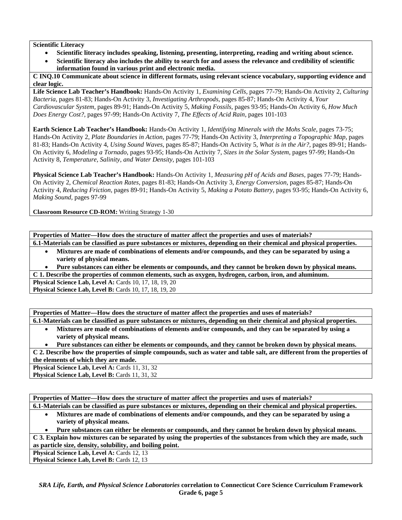## **Scientific Literacy**

- **Scientific literacy includes speaking, listening, presenting, interpreting, reading and writing about science.**
- **Scientific literacy also includes the ability to search for and assess the relevance and credibility of scientific information found in various print and electronic media.**

**C INQ.10 Communicate about science in different formats, using relevant science vocabulary, supporting evidence and clear logic.** 

**Life Science Lab Teacher's Handbook:** Hands-On Activity 1, *Examining Cells,* pages 77-79; Hands-On Activity 2, *Culturing Bacteria,* pages 81-83; Hands-On Activity 3, *Investigating Arthropods,* pages 85-87; Hands-On Activity 4, *Your Cardiovascular System,* pages 89-91; Hands-On Activity 5, *Making Fossils,* pages 93-95; Hands-On Activity 6, *How Much Does Energy Cost?,* pages 97-99; Hands-On Activity 7, *The Effects of Acid Rain,* pages 101-103

**Earth Science Lab Teacher's Handbook:** Hands-On Activity 1, *Identifying Minerals with the Mohs Scale,* pages 73-75; Hands-On Activity 2, *Plate Boundaries in Action,* pages 77-79; Hands-On Activity 3, *Interpreting a Topographic Map,* pages 81-83; Hands-On Activity 4, *Using Sound Waves,* pages 85-87; Hands-On Activity 5, *What is in the Air?,* pages 89-91; Hands-On Activity 6, *Modeling a Tornado,* pages 93-95; Hands-On Activity 7, *Sizes in the Solar System,* pages 97-99; Hands-On Activity 8, *Temperature, Salinity, and Water Density,* pages 101-103

**Physical Science Lab Teacher's Handbook:** Hands-On Activity 1, *Measuring pH of Acids and Bases,* pages 77-79; Hands-On Activity 2, *Chemical Reaction Rates,* pages 81-83; Hands-On Activity 3, *Energy Conversion,* pages 85-87; Hands-On Activity 4, *Reducing Friction,* pages 89-91; Hands-On Activity 5, *Making a Potato Battery,* pages 93-95; Hands-On Activity 6, *Making Sound,* pages 97-99

**Classroom Resource CD-ROM:** Writing Strategy 1-30

**Properties of Matter—How does the structure of matter affect the properties and uses of materials? 6.1-Materials can be classified as pure substances or mixtures, depending on their chemical and physical properties.** 

- **Mixtures are made of combinations of elements and/or compounds, and they can be separated by using a variety of physical means.**
- **Pure substances can either be elements or compounds, and they cannot be broken down by physical means.**

**C 1. Describe the properties of common elements, such as oxygen, hydrogen, carbon, iron, and aluminum.** 

**Physical Science Lab, Level A: Cards 10, 17, 18, 19, 20 Physical Science Lab, Level B:** Cards 10, 17, 18, 19, 20

**Properties of Matter—How does the structure of matter affect the properties and uses of materials? 6.1-Materials can be classified as pure substances or mixtures, depending on their chemical and physical properties.** 

• **Mixtures are made of combinations of elements and/or compounds, and they can be separated by using a variety of physical means.** 

• **Pure substances can either be elements or compounds, and they cannot be broken down by physical means.** 

**C 2. Describe how the properties of simple compounds, such as water and table salt, are different from the properties of the elements of which they are made.** 

**Physical Science Lab, Level A: Cards 11, 31, 32** Physical Science Lab, Level B: Cards 11, 31, 32

| Properties of Matter—How does the structure of matter affect the properties and uses of materials?                   |
|----------------------------------------------------------------------------------------------------------------------|
| 6.1-Materials can be classified as pure substances or mixtures, depending on their chemical and physical properties. |

• **Mixtures are made of combinations of elements and/or compounds, and they can be separated by using a variety of physical means.** 

• **Pure substances can either be elements or compounds, and they cannot be broken down by physical means.** 

**C 3. Explain how mixtures can be separated by using the properties of the substances from which they are made, such as particle size, density, solubility, and boiling point.** 

**Physical Science Lab, Level A: Cards 12, 13 Physical Science Lab, Level B: Cards 12, 13**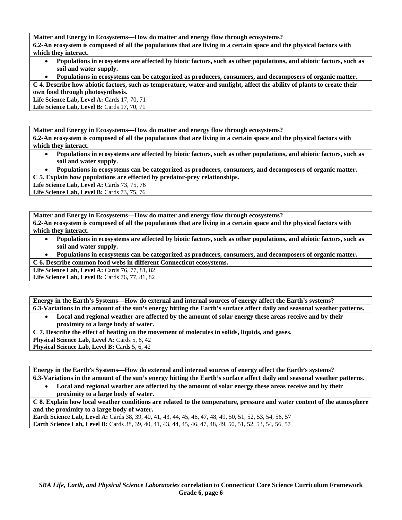**Matter and Energy in Ecosystems—How do matter and energy flow through ecosystems?** 

**6.2-An ecosystem is composed of all the populations that are living in a certain space and the physical factors with which they interact.** 

- **Populations in ecosystems are affected by biotic factors, such as other populations, and abiotic factors, such as soil and water supply.**
- **Populations in ecosystems can be categorized as producers, consumers, and decomposers of organic matter.**

**C 4. Describe how abiotic factors, such as temperature, water and sunlight, affect the ability of plants to create their own food through photosynthesis.** 

Life Science Lab, Level A: Cards 17, 70, 71 **Life Science Lab, Level B: Cards 17, 70, 71** 

**Matter and Energy in Ecosystems—How do matter and energy flow through ecosystems?** 

**6.2-An ecosystem is composed of all the populations that are living in a certain space and the physical factors with which they interact.** 

- **Populations in ecosystems are affected by biotic factors, such as other populations, and abiotic factors, such as soil and water supply.**
- **Populations in ecosystems can be categorized as producers, consumers, and decomposers of organic matter. C 5. Explain how populations are effected by predator-prey relationships.**

Life Science Lab, Level A: Cards 73, 75, 76

Life Science Lab, Level B: Cards 73, 75, 76

**Matter and Energy in Ecosystems—How do matter and energy flow through ecosystems?** 

**6.2-An ecosystem is composed of all the populations that are living in a certain space and the physical factors with which they interact.** 

- **Populations in ecosystems are affected by biotic factors, such as other populations, and abiotic factors, such as soil and water supply.**
- **Populations in ecosystems can be categorized as producers, consumers, and decomposers of organic matter. C 6. Describe common food webs in different Connecticut ecosystems.**

**Life Science Lab, Level A:** Cards 76, 77, 81, 82

Life Science Lab, Level B: Cards 76, 77, 81, 82

**Energy in the Earth's Systems—How do external and internal sources of energy affect the Earth's systems? 6.3-Variations in the amount of the sun's energy hitting the Earth's surface affect daily and seasonal weather patterns.** 

• **Local and regional weather are affected by the amount of solar energy these areas receive and by their proximity to a large body of water.** 

**C 7. Describe the effect of heating on the movement of molecules in solids, liquids, and gases.** 

**Physical Science Lab, Level A: Cards 5, 6, 42** 

**Physical Science Lab, Level B: Cards 5, 6, 42** 

**Energy in the Earth's Systems—How do external and internal sources of energy affect the Earth's systems? 6.3-Variations in the amount of the sun's energy hitting the Earth's surface affect daily and seasonal weather patterns.** 

• **Local and regional weather are affected by the amount of solar energy these areas receive and by their proximity to a large body of water.** 

**C 8. Explain how local weather conditions are related to the temperature, pressure and water content of the atmosphere and the proximity to a large body of water.** 

**Earth Science Lab, Level A:** Cards 38, 39, 40, 41, 43, 44, 45, 46, 47, 48, 49, 50, 51, 52, 53, 54, 56, 57 **Earth Science Lab, Level B:** Cards 38, 39, 40, 41, 43, 44, 45, 46, 47, 48, 49, 50, 51, 52, 53, 54, 56, 57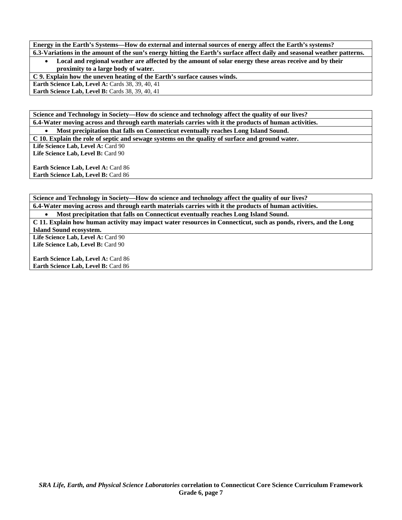**Energy in the Earth's Systems—How do external and internal sources of energy affect the Earth's systems?** 

**6.3-Variations in the amount of the sun's energy hitting the Earth's surface affect daily and seasonal weather patterns.**  • **Local and regional weather are affected by the amount of solar energy these areas receive and by their proximity to a large body of water.** 

**C 9. Explain how the uneven heating of the Earth's surface causes winds.** 

**Earth Science Lab, Level A: Cards 38, 39, 40, 41** 

**Earth Science Lab, Level B: Cards 38, 39, 40, 41** 

**Science and Technology in Society—How do science and technology affect the quality of our lives? 6.4-Water moving across and through earth materials carries with it the products of human activities.** 

• **Most precipitation that falls on Connecticut eventually reaches Long Island Sound. C 10. Explain the role of septic and sewage systems on the quality of surface and ground water.** 

Life Science Lab, Level A: Card 90 Life Science Lab, Level B: Card 90

**Earth Science Lab, Level A: Card 86 Earth Science Lab, Level B: Card 86** 

**Science and Technology in Society—How do science and technology affect the quality of our lives? 6.4-Water moving across and through earth materials carries with it the products of human activities.** 

• **Most precipitation that falls on Connecticut eventually reaches Long Island Sound.** 

**C 11. Explain how human activity may impact water resources in Connecticut, such as ponds, rivers, and the Long Island Sound ecosystem.** 

Life Science Lab, Level A: Card 90 Life Science Lab, Level B: Card 90

Earth Science Lab, Level A: Card 86 **Earth Science Lab, Level B:** Card 86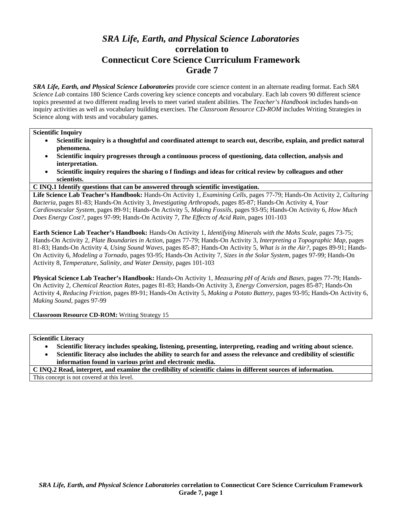# *SRA Life, Earth, and Physical Science Laboratories*  **correlation to Connecticut Core Science Curriculum Framework Grade 7**

*SRA Life, Earth, and Physical Science Laboratories* provide core science content in an alternate reading format. Each *SRA Science Lab* contains 180 Science Cards covering key science concepts and vocabulary. Each lab covers 90 different science topics presented at two different reading levels to meet varied student abilities. The *Teacher's Handbook* includes hands-on inquiry activities as well as vocabulary building exercises. The *Classroom Resource CD-ROM* includes Writing Strategies in Science along with tests and vocabulary games.

#### **Scientific Inquiry**

- **Scientific inquiry is a thoughtful and coordinated attempt to search out, describe, explain, and predict natural phenomena.**
- **Scientific inquiry progresses through a continuous process of questioning, data collection, analysis and interpretation.**
- **Scientific inquiry requires the sharing o f findings and ideas for critical review by colleagues and other scientists.**
- **C INQ.1 Identify questions that can be answered through scientific investigation.**

**Life Science Lab Teacher's Handbook:** Hands-On Activity 1, *Examining Cells,* pages 77-79; Hands-On Activity 2, *Culturing Bacteria,* pages 81-83; Hands-On Activity 3, *Investigating Arthropods,* pages 85-87; Hands-On Activity 4, *Your Cardiovascular System,* pages 89-91; Hands-On Activity 5, *Making Fossils,* pages 93-95; Hands-On Activity 6, *How Much Does Energy Cost?,* pages 97-99; Hands-On Activity 7, *The Effects of Acid Rain,* pages 101-103

**Earth Science Lab Teacher's Handbook:** Hands-On Activity 1, *Identifying Minerals with the Mohs Scale,* pages 73-75; Hands-On Activity 2, *Plate Boundaries in Action,* pages 77-79; Hands-On Activity 3, *Interpreting a Topographic Map,* pages 81-83; Hands-On Activity 4, *Using Sound Waves,* pages 85-87; Hands-On Activity 5, *What is in the Air?,* pages 89-91; Hands-On Activity 6, *Modeling a Tornado,* pages 93-95; Hands-On Activity 7, *Sizes in the Solar System,* pages 97-99; Hands-On Activity 8, *Temperature, Salinity, and Water Density,* pages 101-103

**Physical Science Lab Teacher's Handbook:** Hands-On Activity 1, *Measuring pH of Acids and Bases,* pages 77-79; Hands-On Activity 2, *Chemical Reaction Rates,* pages 81-83; Hands-On Activity 3, *Energy Conversion,* pages 85-87; Hands-On Activity 4, *Reducing Friction,* pages 89-91; Hands-On Activity 5, *Making a Potato Battery,* pages 93-95; Hands-On Activity 6, *Making Sound,* pages 97-99

**Classroom Resource CD-ROM:** Writing Strategy 15

**Scientific Literacy** 

- **Scientific literacy includes speaking, listening, presenting, interpreting, reading and writing about science.**
- **Scientific literacy also includes the ability to search for and assess the relevance and credibility of scientific information found in various print and electronic media.**

**C INQ.2 Read, interpret, and examine the credibility of scientific claims in different sources of information.**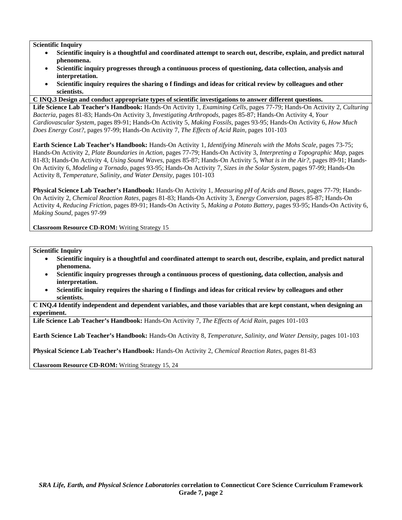- **Scientific inquiry is a thoughtful and coordinated attempt to search out, describe, explain, and predict natural phenomena.**
- **Scientific inquiry progresses through a continuous process of questioning, data collection, analysis and interpretation.**
- **Scientific inquiry requires the sharing o f findings and ideas for critical review by colleagues and other scientists.**
- **C INQ.3 Design and conduct appropriate types of scientific investigations to answer different questions.**

**Life Science Lab Teacher's Handbook:** Hands-On Activity 1, *Examining Cells,* pages 77-79; Hands-On Activity 2, *Culturing Bacteria,* pages 81-83; Hands-On Activity 3, *Investigating Arthropods,* pages 85-87; Hands-On Activity 4, *Your Cardiovascular System,* pages 89-91; Hands-On Activity 5, *Making Fossils,* pages 93-95; Hands-On Activity 6, *How Much Does Energy Cost?,* pages 97-99; Hands-On Activity 7, *The Effects of Acid Rain,* pages 101-103

**Earth Science Lab Teacher's Handbook:** Hands-On Activity 1, *Identifying Minerals with the Mohs Scale,* pages 73-75; Hands-On Activity 2, *Plate Boundaries in Action,* pages 77-79; Hands-On Activity 3, *Interpreting a Topographic Map,* pages 81-83; Hands-On Activity 4, *Using Sound Waves,* pages 85-87; Hands-On Activity 5, *What is in the Air?,* pages 89-91; Hands-On Activity 6, *Modeling a Tornado,* pages 93-95; Hands-On Activity 7, *Sizes in the Solar System,* pages 97-99; Hands-On Activity 8, *Temperature, Salinity, and Water Density,* pages 101-103

**Physical Science Lab Teacher's Handbook:** Hands-On Activity 1, *Measuring pH of Acids and Bases,* pages 77-79; Hands-On Activity 2, *Chemical Reaction Rates,* pages 81-83; Hands-On Activity 3, *Energy Conversion,* pages 85-87; Hands-On Activity 4, *Reducing Friction,* pages 89-91; Hands-On Activity 5, *Making a Potato Battery,* pages 93-95; Hands-On Activity 6, *Making Sound,* pages 97-99

**Classroom Resource CD-ROM:** Writing Strategy 15

**Scientific Inquiry** 

- **Scientific inquiry is a thoughtful and coordinated attempt to search out, describe, explain, and predict natural phenomena.**
- **Scientific inquiry progresses through a continuous process of questioning, data collection, analysis and interpretation.**
- **Scientific inquiry requires the sharing o f findings and ideas for critical review by colleagues and other scientists.**

**C INQ.4 Identify independent and dependent variables, and those variables that are kept constant, when designing an experiment.** 

**Life Science Lab Teacher's Handbook:** Hands-On Activity 7, *The Effects of Acid Rain,* pages 101-103

**Earth Science Lab Teacher's Handbook:** Hands-On Activity 8, *Temperature, Salinity, and Water Density,* pages 101-103

**Physical Science Lab Teacher's Handbook:** Hands-On Activity 2, *Chemical Reaction Rates,* pages 81-83

**Classroom Resource CD-ROM:** Writing Strategy 15, 24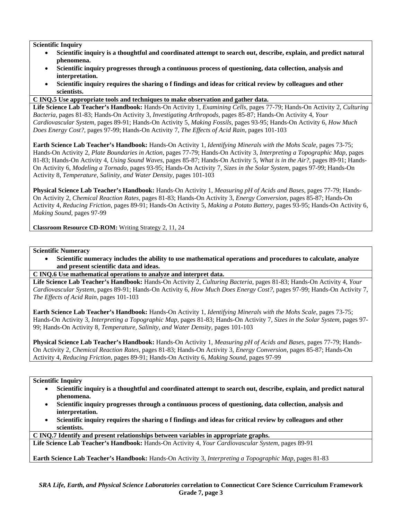- **Scientific inquiry is a thoughtful and coordinated attempt to search out, describe, explain, and predict natural phenomena.**
- **Scientific inquiry progresses through a continuous process of questioning, data collection, analysis and interpretation.**
- **Scientific inquiry requires the sharing o f findings and ideas for critical review by colleagues and other scientists.**

## **C INQ.5 Use appropriate tools and techniques to make observation and gather data.**

**Life Science Lab Teacher's Handbook:** Hands-On Activity 1, *Examining Cells,* pages 77-79; Hands-On Activity 2, *Culturing Bacteria,* pages 81-83; Hands-On Activity 3, *Investigating Arthropods,* pages 85-87; Hands-On Activity 4, *Your Cardiovascular System,* pages 89-91; Hands-On Activity 5, *Making Fossils,* pages 93-95; Hands-On Activity 6, *How Much Does Energy Cost?,* pages 97-99; Hands-On Activity 7, *The Effects of Acid Rain,* pages 101-103

**Earth Science Lab Teacher's Handbook:** Hands-On Activity 1, *Identifying Minerals with the Mohs Scale,* pages 73-75; Hands-On Activity 2, *Plate Boundaries in Action,* pages 77-79; Hands-On Activity 3, *Interpreting a Topographic Map,* pages 81-83; Hands-On Activity 4, *Using Sound Waves,* pages 85-87; Hands-On Activity 5, *What is in the Air?,* pages 89-91; Hands-On Activity 6, *Modeling a Tornado,* pages 93-95; Hands-On Activity 7, *Sizes in the Solar System,* pages 97-99; Hands-On Activity 8, *Temperature, Salinity, and Water Density,* pages 101-103

**Physical Science Lab Teacher's Handbook:** Hands-On Activity 1, *Measuring pH of Acids and Bases,* pages 77-79; Hands-On Activity 2, *Chemical Reaction Rates,* pages 81-83; Hands-On Activity 3, *Energy Conversion,* pages 85-87; Hands-On Activity 4, *Reducing Friction,* pages 89-91; Hands-On Activity 5, *Making a Potato Battery,* pages 93-95; Hands-On Activity 6, *Making Sound,* pages 97-99

**Classroom Resource CD-ROM:** Writing Strategy 2, 11, 24

## **Scientific Numeracy**

- **Scientific numeracy includes the ability to use mathematical operations and procedures to calculate, analyze and present scientific data and ideas.**
- **C INQ.6 Use mathematical operations to analyze and interpret data.**

**Life Science Lab Teacher's Handbook:** Hands-On Activity 2, *Culturing Bacteria,* pages 81-83; Hands-On Activity 4, *Your Cardiovascular System,* pages 89-91; Hands-On Activity 6, *How Much Does Energy Cost?,* pages 97-99; Hands-On Activity 7, *The Effects of Acid Rain,* pages 101-103

**Earth Science Lab Teacher's Handbook:** Hands-On Activity 1, *Identifying Minerals with the Mohs Scale,* pages 73-75; Hands-On Activity 3, *Interpreting a Topographic Map,* pages 81-83; Hands-On Activity 7, *Sizes in the Solar System,* pages 97- 99; Hands-On Activity 8, *Temperature, Salinity, and Water Density,* pages 101-103

**Physical Science Lab Teacher's Handbook:** Hands-On Activity 1, *Measuring pH of Acids and Bases,* pages 77-79; Hands-On Activity 2, *Chemical Reaction Rates,* pages 81-83; Hands-On Activity 3, *Energy Conversion,* pages 85-87; Hands-On Activity 4, *Reducing Friction,* pages 89-91; Hands-On Activity 6, *Making Sound,* pages 97-99

## **Scientific Inquiry**

- **Scientific inquiry is a thoughtful and coordinated attempt to search out, describe, explain, and predict natural phenomena.**
- **Scientific inquiry progresses through a continuous process of questioning, data collection, analysis and interpretation.**
- **Scientific inquiry requires the sharing o f findings and ideas for critical review by colleagues and other scientists.**

**C INQ.7 Identify and present relationships between variables in appropriate graphs.** 

**Life Science Lab Teacher's Handbook:** Hands-On Activity 4, *Your Cardiovascular System,* pages 89-91

**Earth Science Lab Teacher's Handbook:** Hands-On Activity 3, *Interpreting a Topographic Map,* pages 81-83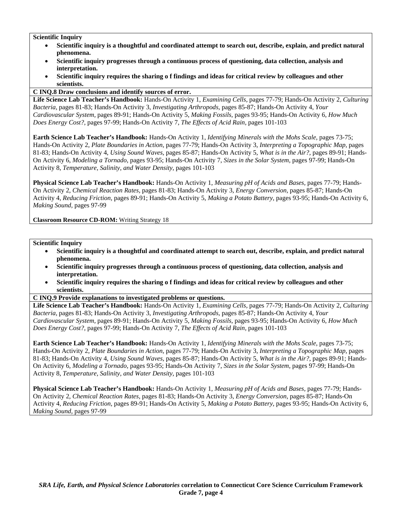- **Scientific inquiry is a thoughtful and coordinated attempt to search out, describe, explain, and predict natural phenomena.**
- **Scientific inquiry progresses through a continuous process of questioning, data collection, analysis and interpretation.**
- **Scientific inquiry requires the sharing o f findings and ideas for critical review by colleagues and other scientists.**

## **C INQ.8 Draw conclusions and identify sources of error.**

**Life Science Lab Teacher's Handbook:** Hands-On Activity 1, *Examining Cells,* pages 77-79; Hands-On Activity 2, *Culturing Bacteria,* pages 81-83; Hands-On Activity 3, *Investigating Arthropods,* pages 85-87; Hands-On Activity 4, *Your Cardiovascular System,* pages 89-91; Hands-On Activity 5, *Making Fossils,* pages 93-95; Hands-On Activity 6, *How Much Does Energy Cost?,* pages 97-99; Hands-On Activity 7, *The Effects of Acid Rain,* pages 101-103

**Earth Science Lab Teacher's Handbook:** Hands-On Activity 1, *Identifying Minerals with the Mohs Scale,* pages 73-75; Hands-On Activity 2, *Plate Boundaries in Action,* pages 77-79; Hands-On Activity 3, *Interpreting a Topographic Map,* pages 81-83; Hands-On Activity 4, *Using Sound Waves,* pages 85-87; Hands-On Activity 5, *What is in the Air?,* pages 89-91; Hands-On Activity 6, *Modeling a Tornado,* pages 93-95; Hands-On Activity 7, *Sizes in the Solar System,* pages 97-99; Hands-On Activity 8, *Temperature, Salinity, and Water Density,* pages 101-103

**Physical Science Lab Teacher's Handbook:** Hands-On Activity 1, *Measuring pH of Acids and Bases,* pages 77-79; Hands-On Activity 2, *Chemical Reaction Rates,* pages 81-83; Hands-On Activity 3, *Energy Conversion,* pages 85-87; Hands-On Activity 4, *Reducing Friction,* pages 89-91; Hands-On Activity 5, *Making a Potato Battery,* pages 93-95; Hands-On Activity 6, *Making Sound,* pages 97-99

**Classroom Resource CD-ROM:** Writing Strategy 18

#### **Scientific Inquiry**

- **Scientific inquiry is a thoughtful and coordinated attempt to search out, describe, explain, and predict natural phenomena.**
- **Scientific inquiry progresses through a continuous process of questioning, data collection, analysis and interpretation.**
- **Scientific inquiry requires the sharing o f findings and ideas for critical review by colleagues and other scientists.**

#### **C INQ.9 Provide explanations to investigated problems or questions.**

**Life Science Lab Teacher's Handbook:** Hands-On Activity 1, *Examining Cells,* pages 77-79; Hands-On Activity 2, *Culturing Bacteria,* pages 81-83; Hands-On Activity 3, *Investigating Arthropods,* pages 85-87; Hands-On Activity 4, *Your Cardiovascular System,* pages 89-91; Hands-On Activity 5, *Making Fossils,* pages 93-95; Hands-On Activity 6, *How Much Does Energy Cost?,* pages 97-99; Hands-On Activity 7, *The Effects of Acid Rain,* pages 101-103

**Earth Science Lab Teacher's Handbook:** Hands-On Activity 1, *Identifying Minerals with the Mohs Scale,* pages 73-75; Hands-On Activity 2, *Plate Boundaries in Action,* pages 77-79; Hands-On Activity 3, *Interpreting a Topographic Map,* pages 81-83; Hands-On Activity 4, *Using Sound Waves,* pages 85-87; Hands-On Activity 5, *What is in the Air?,* pages 89-91; Hands-On Activity 6, *Modeling a Tornado,* pages 93-95; Hands-On Activity 7, *Sizes in the Solar System,* pages 97-99; Hands-On Activity 8, *Temperature, Salinity, and Water Density,* pages 101-103

**Physical Science Lab Teacher's Handbook:** Hands-On Activity 1, *Measuring pH of Acids and Bases,* pages 77-79; Hands-On Activity 2, *Chemical Reaction Rates,* pages 81-83; Hands-On Activity 3, *Energy Conversion,* pages 85-87; Hands-On Activity 4, *Reducing Friction,* pages 89-91; Hands-On Activity 5, *Making a Potato Battery,* pages 93-95; Hands-On Activity 6, *Making Sound,* pages 97-99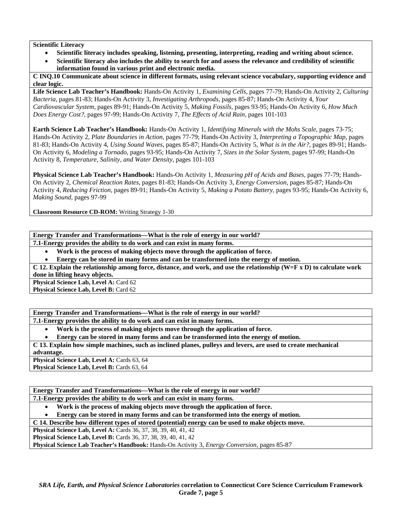## **Scientific Literacy**

- **Scientific literacy includes speaking, listening, presenting, interpreting, reading and writing about science.**
- **Scientific literacy also includes the ability to search for and assess the relevance and credibility of scientific information found in various print and electronic media.**

**C INQ.10 Communicate about science in different formats, using relevant science vocabulary, supporting evidence and clear logic.** 

**Life Science Lab Teacher's Handbook:** Hands-On Activity 1, *Examining Cells,* pages 77-79; Hands-On Activity 2, *Culturing Bacteria,* pages 81-83; Hands-On Activity 3, *Investigating Arthropods,* pages 85-87; Hands-On Activity 4, *Your Cardiovascular System,* pages 89-91; Hands-On Activity 5, *Making Fossils,* pages 93-95; Hands-On Activity 6, *How Much Does Energy Cost?,* pages 97-99; Hands-On Activity 7, *The Effects of Acid Rain,* pages 101-103

**Earth Science Lab Teacher's Handbook:** Hands-On Activity 1, *Identifying Minerals with the Mohs Scale,* pages 73-75; Hands-On Activity 2, *Plate Boundaries in Action,* pages 77-79; Hands-On Activity 3, *Interpreting a Topographic Map,* pages 81-83; Hands-On Activity 4, *Using Sound Waves,* pages 85-87; Hands-On Activity 5, *What is in the Air?,* pages 89-91; Hands-On Activity 6, *Modeling a Tornado,* pages 93-95; Hands-On Activity 7, *Sizes in the Solar System,* pages 97-99; Hands-On Activity 8, *Temperature, Salinity, and Water Density,* pages 101-103

**Physical Science Lab Teacher's Handbook:** Hands-On Activity 1, *Measuring pH of Acids and Bases,* pages 77-79; Hands-On Activity 2, *Chemical Reaction Rates,* pages 81-83; Hands-On Activity 3, *Energy Conversion,* pages 85-87; Hands-On Activity 4, *Reducing Friction,* pages 89-91; Hands-On Activity 5, *Making a Potato Battery,* pages 93-95; Hands-On Activity 6, *Making Sound,* pages 97-99

**Classroom Resource CD-ROM:** Writing Strategy 1-30

**Energy Transfer and Transformations—What is the role of energy in our world?** 

**7.1-Energy provides the ability to do work and can exist in many forms.** 

• **Work is the process of making objects move through the application of force.** 

• **Energy can be stored in many forms and can be transformed into the energy of motion.** 

**C 12. Explain the relationship among force, distance, and work, and use the relationship (W=F x D) to calculate work done in lifting heavy objects.** 

**Physical Science Lab, Level A: Card 62 Physical Science Lab, Level B: Card 62** 

**Energy Transfer and Transformations—What is the role of energy in our world?** 

**7.1-Energy provides the ability to do work and can exist in many forms.** 

• **Work is the process of making objects move through the application of force.** 

• **Energy can be stored in many forms and can be transformed into the energy of motion.** 

**C 13. Explain how simple machines, such as inclined planes, pulleys and levers, are used to create mechanical advantage.** 

**Physical Science Lab, Level A: Cards 63, 64** Physical Science Lab, Level B: Cards 63, 64

**Energy Transfer and Transformations—What is the role of energy in our world? 7.1-Energy provides the ability to do work and can exist in many forms.** 

• **Work is the process of making objects move through the application of force.** 

• **Energy can be stored in many forms and can be transformed into the energy of motion.** 

**C 14. Describe how different types of stored (potential) energy can be used to make objects move.** 

**Physical Science Lab, Level A: Cards 36, 37, 38, 39, 40, 41, 42** 

**Physical Science Lab, Level B:** Cards 36, 37, 38, 39, 40, 41, 42

**Physical Science Lab Teacher's Handbook:** Hands-On Activity 3, *Energy Conversion,* pages 85-87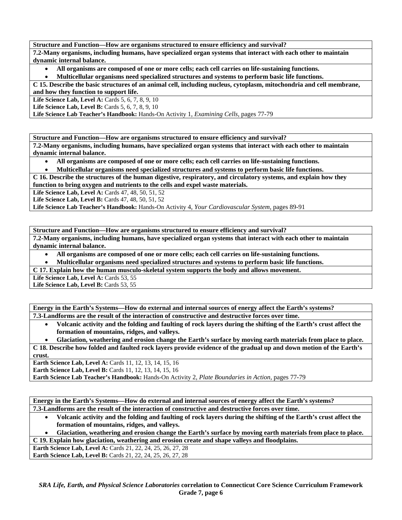**Structure and Function—How are organisms structured to ensure efficiency and survival? 7.2-Many organisms, including humans, have specialized organ systems that interact with each other to maintain dynamic internal balance.** 

• **All organisms are composed of one or more cells; each cell carries on life-sustaining functions.** 

• **Multicellular organisms need specialized structures and systems to perform basic life functions.** 

**C 15. Describe the basic structures of an animal cell, including nucleus, cytoplasm, mitochondria and cell membrane, and how they function to support life.** 

**Life Science Lab, Level A: Cards 5, 6, 7, 8, 9, 10** 

**Life Science Lab, Level B:** Cards 5, 6, 7, 8, 9, 10

**Life Science Lab Teacher's Handbook:** Hands-On Activity 1, *Examining Cells,* pages 77-79

**Structure and Function—How are organisms structured to ensure efficiency and survival?** 

**7.2-Many organisms, including humans, have specialized organ systems that interact with each other to maintain dynamic internal balance.** 

• **All organisms are composed of one or more cells; each cell carries on life-sustaining functions.** 

• **Multicellular organisms need specialized structures and systems to perform basic life functions.** 

**C 16. Describe the structures of the human digestive, respiratory, and circulatory systems, and explain how they function to bring oxygen and nutrients to the cells and expel waste materials.** 

**Life Science Lab, Level A: Cards 47, 48, 50, 51, 52** 

**Life Science Lab, Level B: Cards 47, 48, 50, 51, 52** 

**Life Science Lab Teacher's Handbook:** Hands-On Activity 4, *Your Cardiovascular System,* pages 89-91

**Structure and Function—How are organisms structured to ensure efficiency and survival?** 

**7.2-Many organisms, including humans, have specialized organ systems that interact with each other to maintain dynamic internal balance.** 

• **All organisms are composed of one or more cells; each cell carries on life-sustaining functions.** 

• **Multicellular organisms need specialized structures and systems to perform basic life functions.** 

**C 17. Explain how the human musculo-skeletal system supports the body and allows movement.** 

Life Science Lab, Level A: Cards 53, 55

Life Science Lab, Level B: Cards 53, 55

**Energy in the Earth's Systems—How do external and internal sources of energy affect the Earth's systems? 7.3-Landforms are the result of the interaction of constructive and destructive forces over time.** 

• **Volcanic activity and the folding and faulting of rock layers during the shifting of the Earth's crust affect the formation of mountains, ridges, and valleys.** 

• **Glaciation, weathering and erosion change the Earth's surface by moving earth materials from place to place.** 

**C 18. Describe how folded and faulted rock layers provide evidence of the gradual up and down motion of the Earth's crust.** 

**Earth Science Lab, Level A: Cards 11, 12, 13, 14, 15, 16** 

**Earth Science Lab, Level B:** Cards 11, 12, 13, 14, 15, 16

**Earth Science Lab Teacher's Handbook:** Hands-On Activity 2, *Plate Boundaries in Action,* pages 77-79

**Energy in the Earth's Systems—How do external and internal sources of energy affect the Earth's systems? 7.3-Landforms are the result of the interaction of constructive and destructive forces over time.** 

- **Volcanic activity and the folding and faulting of rock layers during the shifting of the Earth's crust affect the formation of mountains, ridges, and valleys.**
- **Glaciation, weathering and erosion change the Earth's surface by moving earth materials from place to place.**

**C 19. Explain how glaciation, weathering and erosion create and shape valleys and floodplains.** 

**Earth Science Lab, Level A:** Cards 21, 22, 24, 25, 26, 27, 28 **Earth Science Lab, Level B:** Cards 21, 22, 24, 25, 26, 27, 28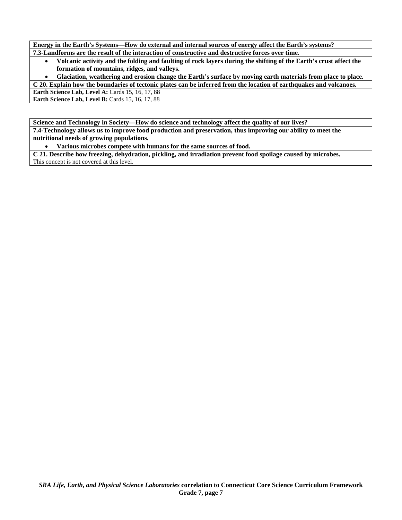**Energy in the Earth's Systems—How do external and internal sources of energy affect the Earth's systems? 7.3-Landforms are the result of the interaction of constructive and destructive forces over time.** 

- **Volcanic activity and the folding and faulting of rock layers during the shifting of the Earth's crust affect the formation of mountains, ridges, and valleys.**
- **Glaciation, weathering and erosion change the Earth's surface by moving earth materials from place to place.**

**C 20. Explain how the boundaries of tectonic plates can be inferred from the location of earthquakes and volcanoes.** 

**Earth Science Lab, Level A: Cards 15, 16, 17, 88** 

**Earth Science Lab, Level B: Cards 15, 16, 17, 88** 

**Science and Technology in Society—How do science and technology affect the quality of our lives? 7.4-Technology allows us to improve food production and preservation, thus improving our ability to meet the nutritional needs of growing populations.** 

• **Various microbes compete with humans for the same sources of food.** 

**C 21. Describe how freezing, dehydration, pickling, and irradiation prevent food spoilage caused by microbes.**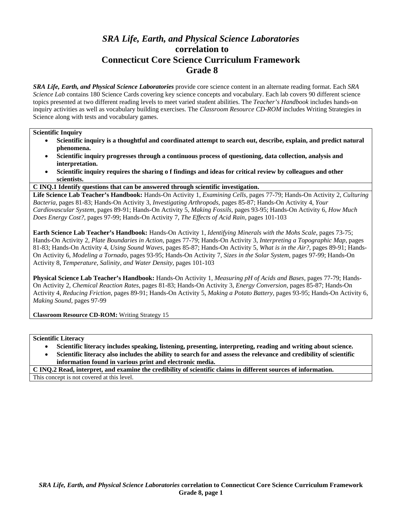# *SRA Life, Earth, and Physical Science Laboratories*  **correlation to Connecticut Core Science Curriculum Framework Grade 8**

*SRA Life, Earth, and Physical Science Laboratories* provide core science content in an alternate reading format. Each *SRA Science Lab* contains 180 Science Cards covering key science concepts and vocabulary. Each lab covers 90 different science topics presented at two different reading levels to meet varied student abilities. The *Teacher's Handbook* includes hands-on inquiry activities as well as vocabulary building exercises. The *Classroom Resource CD-ROM* includes Writing Strategies in Science along with tests and vocabulary games.

#### **Scientific Inquiry**

- **Scientific inquiry is a thoughtful and coordinated attempt to search out, describe, explain, and predict natural phenomena.**
- **Scientific inquiry progresses through a continuous process of questioning, data collection, analysis and interpretation.**
- **Scientific inquiry requires the sharing o f findings and ideas for critical review by colleagues and other scientists.**
- **C INQ.1 Identify questions that can be answered through scientific investigation.**

**Life Science Lab Teacher's Handbook:** Hands-On Activity 1, *Examining Cells,* pages 77-79; Hands-On Activity 2, *Culturing Bacteria,* pages 81-83; Hands-On Activity 3, *Investigating Arthropods,* pages 85-87; Hands-On Activity 4, *Your Cardiovascular System,* pages 89-91; Hands-On Activity 5, *Making Fossils,* pages 93-95; Hands-On Activity 6, *How Much Does Energy Cost?,* pages 97-99; Hands-On Activity 7, *The Effects of Acid Rain,* pages 101-103

**Earth Science Lab Teacher's Handbook:** Hands-On Activity 1, *Identifying Minerals with the Mohs Scale,* pages 73-75; Hands-On Activity 2, *Plate Boundaries in Action,* pages 77-79; Hands-On Activity 3, *Interpreting a Topographic Map,* pages 81-83; Hands-On Activity 4, *Using Sound Waves,* pages 85-87; Hands-On Activity 5, *What is in the Air?,* pages 89-91; Hands-On Activity 6, *Modeling a Tornado,* pages 93-95; Hands-On Activity 7, *Sizes in the Solar System,* pages 97-99; Hands-On Activity 8, *Temperature, Salinity, and Water Density,* pages 101-103

**Physical Science Lab Teacher's Handbook:** Hands-On Activity 1, *Measuring pH of Acids and Bases,* pages 77-79; Hands-On Activity 2, *Chemical Reaction Rates,* pages 81-83; Hands-On Activity 3, *Energy Conversion,* pages 85-87; Hands-On Activity 4, *Reducing Friction,* pages 89-91; Hands-On Activity 5, *Making a Potato Battery,* pages 93-95; Hands-On Activity 6, *Making Sound,* pages 97-99

**Classroom Resource CD-ROM:** Writing Strategy 15

**Scientific Literacy** 

- **Scientific literacy includes speaking, listening, presenting, interpreting, reading and writing about science.**
- **Scientific literacy also includes the ability to search for and assess the relevance and credibility of scientific information found in various print and electronic media.**

**C INQ.2 Read, interpret, and examine the credibility of scientific claims in different sources of information.**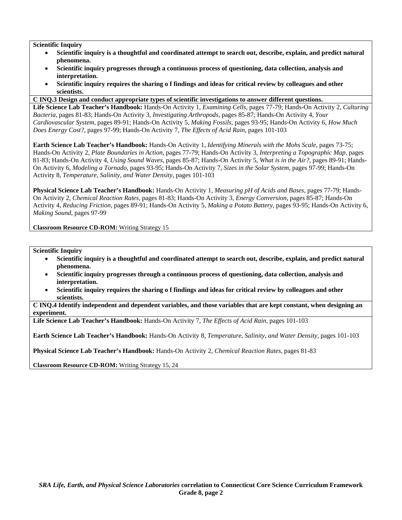- **Scientific inquiry is a thoughtful and coordinated attempt to search out, describe, explain, and predict natural phenomena.**
- **Scientific inquiry progresses through a continuous process of questioning, data collection, analysis and interpretation.**
- **Scientific inquiry requires the sharing o f findings and ideas for critical review by colleagues and other scientists.**
- **C INQ.3 Design and conduct appropriate types of scientific investigations to answer different questions.**

**Life Science Lab Teacher's Handbook:** Hands-On Activity 1, *Examining Cells,* pages 77-79; Hands-On Activity 2, *Culturing Bacteria,* pages 81-83; Hands-On Activity 3, *Investigating Arthropods,* pages 85-87; Hands-On Activity 4, *Your Cardiovascular System,* pages 89-91; Hands-On Activity 5, *Making Fossils,* pages 93-95; Hands-On Activity 6, *How Much Does Energy Cost?,* pages 97-99; Hands-On Activity 7, *The Effects of Acid Rain,* pages 101-103

**Earth Science Lab Teacher's Handbook:** Hands-On Activity 1, *Identifying Minerals with the Mohs Scale,* pages 73-75; Hands-On Activity 2, *Plate Boundaries in Action,* pages 77-79; Hands-On Activity 3, *Interpreting a Topographic Map,* pages 81-83; Hands-On Activity 4, *Using Sound Waves,* pages 85-87; Hands-On Activity 5, *What is in the Air?,* pages 89-91; Hands-On Activity 6, *Modeling a Tornado,* pages 93-95; Hands-On Activity 7, *Sizes in the Solar System,* pages 97-99; Hands-On Activity 8, *Temperature, Salinity, and Water Density,* pages 101-103

**Physical Science Lab Teacher's Handbook:** Hands-On Activity 1, *Measuring pH of Acids and Bases,* pages 77-79; Hands-On Activity 2, *Chemical Reaction Rates,* pages 81-83; Hands-On Activity 3, *Energy Conversion,* pages 85-87; Hands-On Activity 4, *Reducing Friction,* pages 89-91; Hands-On Activity 5, *Making a Potato Battery,* pages 93-95; Hands-On Activity 6, *Making Sound,* pages 97-99

**Classroom Resource CD-ROM:** Writing Strategy 15

**Scientific Inquiry** 

- **Scientific inquiry is a thoughtful and coordinated attempt to search out, describe, explain, and predict natural phenomena.**
- **Scientific inquiry progresses through a continuous process of questioning, data collection, analysis and interpretation.**
- **Scientific inquiry requires the sharing o f findings and ideas for critical review by colleagues and other scientists.**

**C INQ.4 Identify independent and dependent variables, and those variables that are kept constant, when designing an experiment.** 

**Life Science Lab Teacher's Handbook:** Hands-On Activity 7, *The Effects of Acid Rain,* pages 101-103

**Earth Science Lab Teacher's Handbook:** Hands-On Activity 8, *Temperature, Salinity, and Water Density,* pages 101-103

**Physical Science Lab Teacher's Handbook:** Hands-On Activity 2, *Chemical Reaction Rates,* pages 81-83

**Classroom Resource CD-ROM:** Writing Strategy 15, 24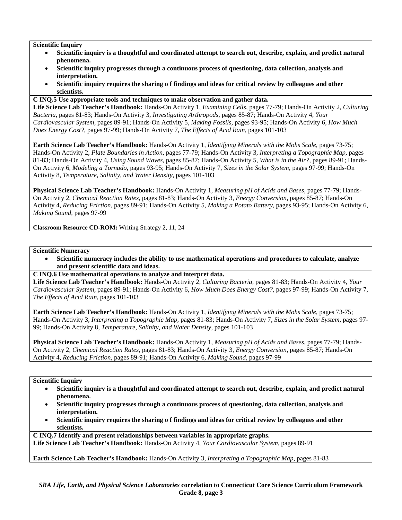- **Scientific inquiry is a thoughtful and coordinated attempt to search out, describe, explain, and predict natural phenomena.**
- **Scientific inquiry progresses through a continuous process of questioning, data collection, analysis and interpretation.**
- **Scientific inquiry requires the sharing o f findings and ideas for critical review by colleagues and other scientists.**

## **C INQ.5 Use appropriate tools and techniques to make observation and gather data.**

**Life Science Lab Teacher's Handbook:** Hands-On Activity 1, *Examining Cells,* pages 77-79; Hands-On Activity 2, *Culturing Bacteria,* pages 81-83; Hands-On Activity 3, *Investigating Arthropods,* pages 85-87; Hands-On Activity 4, *Your Cardiovascular System,* pages 89-91; Hands-On Activity 5, *Making Fossils,* pages 93-95; Hands-On Activity 6, *How Much Does Energy Cost?,* pages 97-99; Hands-On Activity 7, *The Effects of Acid Rain,* pages 101-103

**Earth Science Lab Teacher's Handbook:** Hands-On Activity 1, *Identifying Minerals with the Mohs Scale,* pages 73-75; Hands-On Activity 2, *Plate Boundaries in Action,* pages 77-79; Hands-On Activity 3, *Interpreting a Topographic Map,* pages 81-83; Hands-On Activity 4, *Using Sound Waves,* pages 85-87; Hands-On Activity 5, *What is in the Air?,* pages 89-91; Hands-On Activity 6, *Modeling a Tornado,* pages 93-95; Hands-On Activity 7, *Sizes in the Solar System,* pages 97-99; Hands-On Activity 8, *Temperature, Salinity, and Water Density,* pages 101-103

**Physical Science Lab Teacher's Handbook:** Hands-On Activity 1, *Measuring pH of Acids and Bases,* pages 77-79; Hands-On Activity 2, *Chemical Reaction Rates,* pages 81-83; Hands-On Activity 3, *Energy Conversion,* pages 85-87; Hands-On Activity 4, *Reducing Friction,* pages 89-91; Hands-On Activity 5, *Making a Potato Battery,* pages 93-95; Hands-On Activity 6, *Making Sound,* pages 97-99

**Classroom Resource CD-ROM:** Writing Strategy 2, 11, 24

## **Scientific Numeracy**

- **Scientific numeracy includes the ability to use mathematical operations and procedures to calculate, analyze and present scientific data and ideas.**
- **C INQ.6 Use mathematical operations to analyze and interpret data.**

**Life Science Lab Teacher's Handbook:** Hands-On Activity 2, *Culturing Bacteria,* pages 81-83; Hands-On Activity 4, *Your Cardiovascular System,* pages 89-91; Hands-On Activity 6, *How Much Does Energy Cost?,* pages 97-99; Hands-On Activity 7, *The Effects of Acid Rain,* pages 101-103

**Earth Science Lab Teacher's Handbook:** Hands-On Activity 1, *Identifying Minerals with the Mohs Scale,* pages 73-75; Hands-On Activity 3, *Interpreting a Topographic Map,* pages 81-83; Hands-On Activity 7, *Sizes in the Solar System,* pages 97- 99; Hands-On Activity 8, *Temperature, Salinity, and Water Density,* pages 101-103

**Physical Science Lab Teacher's Handbook:** Hands-On Activity 1, *Measuring pH of Acids and Bases,* pages 77-79; Hands-On Activity 2, *Chemical Reaction Rates,* pages 81-83; Hands-On Activity 3, *Energy Conversion,* pages 85-87; Hands-On Activity 4, *Reducing Friction,* pages 89-91; Hands-On Activity 6, *Making Sound,* pages 97-99

## **Scientific Inquiry**

- **Scientific inquiry is a thoughtful and coordinated attempt to search out, describe, explain, and predict natural phenomena.**
- **Scientific inquiry progresses through a continuous process of questioning, data collection, analysis and interpretation.**
- **Scientific inquiry requires the sharing o f findings and ideas for critical review by colleagues and other scientists.**

**C INQ.7 Identify and present relationships between variables in appropriate graphs.** 

**Life Science Lab Teacher's Handbook:** Hands-On Activity 4, *Your Cardiovascular System,* pages 89-91

**Earth Science Lab Teacher's Handbook:** Hands-On Activity 3, *Interpreting a Topographic Map,* pages 81-83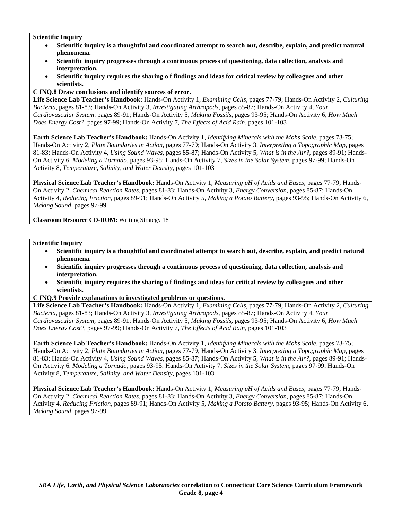- **Scientific inquiry is a thoughtful and coordinated attempt to search out, describe, explain, and predict natural phenomena.**
- **Scientific inquiry progresses through a continuous process of questioning, data collection, analysis and interpretation.**
- **Scientific inquiry requires the sharing o f findings and ideas for critical review by colleagues and other scientists.**

## **C INQ.8 Draw conclusions and identify sources of error.**

**Life Science Lab Teacher's Handbook:** Hands-On Activity 1, *Examining Cells,* pages 77-79; Hands-On Activity 2, *Culturing Bacteria,* pages 81-83; Hands-On Activity 3, *Investigating Arthropods,* pages 85-87; Hands-On Activity 4, *Your Cardiovascular System,* pages 89-91; Hands-On Activity 5, *Making Fossils,* pages 93-95; Hands-On Activity 6, *How Much Does Energy Cost?,* pages 97-99; Hands-On Activity 7, *The Effects of Acid Rain,* pages 101-103

**Earth Science Lab Teacher's Handbook:** Hands-On Activity 1, *Identifying Minerals with the Mohs Scale,* pages 73-75; Hands-On Activity 2, *Plate Boundaries in Action,* pages 77-79; Hands-On Activity 3, *Interpreting a Topographic Map,* pages 81-83; Hands-On Activity 4, *Using Sound Waves,* pages 85-87; Hands-On Activity 5, *What is in the Air?,* pages 89-91; Hands-On Activity 6, *Modeling a Tornado,* pages 93-95; Hands-On Activity 7, *Sizes in the Solar System,* pages 97-99; Hands-On Activity 8, *Temperature, Salinity, and Water Density,* pages 101-103

**Physical Science Lab Teacher's Handbook:** Hands-On Activity 1, *Measuring pH of Acids and Bases,* pages 77-79; Hands-On Activity 2, *Chemical Reaction Rates,* pages 81-83; Hands-On Activity 3, *Energy Conversion,* pages 85-87; Hands-On Activity 4, *Reducing Friction,* pages 89-91; Hands-On Activity 5, *Making a Potato Battery,* pages 93-95; Hands-On Activity 6, *Making Sound,* pages 97-99

**Classroom Resource CD-ROM:** Writing Strategy 18

#### **Scientific Inquiry**

- **Scientific inquiry is a thoughtful and coordinated attempt to search out, describe, explain, and predict natural phenomena.**
- **Scientific inquiry progresses through a continuous process of questioning, data collection, analysis and interpretation.**
- **Scientific inquiry requires the sharing o f findings and ideas for critical review by colleagues and other scientists.**

#### **C INQ.9 Provide explanations to investigated problems or questions.**

**Life Science Lab Teacher's Handbook:** Hands-On Activity 1, *Examining Cells,* pages 77-79; Hands-On Activity 2, *Culturing Bacteria,* pages 81-83; Hands-On Activity 3, *Investigating Arthropods,* pages 85-87; Hands-On Activity 4, *Your Cardiovascular System,* pages 89-91; Hands-On Activity 5, *Making Fossils,* pages 93-95; Hands-On Activity 6, *How Much Does Energy Cost?,* pages 97-99; Hands-On Activity 7, *The Effects of Acid Rain,* pages 101-103

**Earth Science Lab Teacher's Handbook:** Hands-On Activity 1, *Identifying Minerals with the Mohs Scale,* pages 73-75; Hands-On Activity 2, *Plate Boundaries in Action,* pages 77-79; Hands-On Activity 3, *Interpreting a Topographic Map,* pages 81-83; Hands-On Activity 4, *Using Sound Waves,* pages 85-87; Hands-On Activity 5, *What is in the Air?,* pages 89-91; Hands-On Activity 6, *Modeling a Tornado,* pages 93-95; Hands-On Activity 7, *Sizes in the Solar System,* pages 97-99; Hands-On Activity 8, *Temperature, Salinity, and Water Density,* pages 101-103

**Physical Science Lab Teacher's Handbook:** Hands-On Activity 1, *Measuring pH of Acids and Bases,* pages 77-79; Hands-On Activity 2, *Chemical Reaction Rates,* pages 81-83; Hands-On Activity 3, *Energy Conversion,* pages 85-87; Hands-On Activity 4, *Reducing Friction,* pages 89-91; Hands-On Activity 5, *Making a Potato Battery,* pages 93-95; Hands-On Activity 6, *Making Sound,* pages 97-99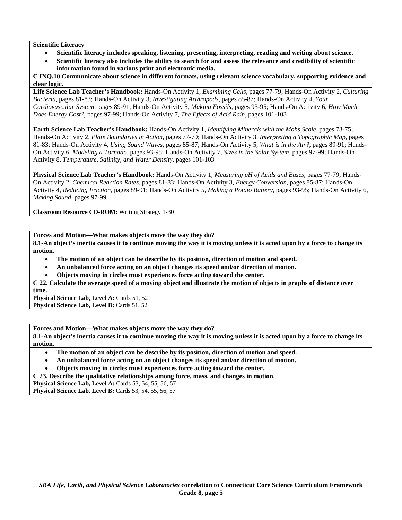#### **Scientific Literacy**

- **Scientific literacy includes speaking, listening, presenting, interpreting, reading and writing about science.**
- **Scientific literacy also includes the ability to search for and assess the relevance and credibility of scientific information found in various print and electronic media.**

**C INQ.10 Communicate about science in different formats, using relevant science vocabulary, supporting evidence and clear logic.** 

**Life Science Lab Teacher's Handbook:** Hands-On Activity 1, *Examining Cells,* pages 77-79; Hands-On Activity 2, *Culturing Bacteria,* pages 81-83; Hands-On Activity 3, *Investigating Arthropods,* pages 85-87; Hands-On Activity 4, *Your Cardiovascular System,* pages 89-91; Hands-On Activity 5, *Making Fossils,* pages 93-95; Hands-On Activity 6, *How Much Does Energy Cost?,* pages 97-99; Hands-On Activity 7, *The Effects of Acid Rain,* pages 101-103

**Earth Science Lab Teacher's Handbook:** Hands-On Activity 1, *Identifying Minerals with the Mohs Scale,* pages 73-75; Hands-On Activity 2, *Plate Boundaries in Action,* pages 77-79; Hands-On Activity 3, *Interpreting a Topographic Map,* pages 81-83; Hands-On Activity 4, *Using Sound Waves,* pages 85-87; Hands-On Activity 5, *What is in the Air?,* pages 89-91; Hands-On Activity 6, *Modeling a Tornado,* pages 93-95; Hands-On Activity 7, *Sizes in the Solar System,* pages 97-99; Hands-On Activity 8, *Temperature, Salinity, and Water Density,* pages 101-103

**Physical Science Lab Teacher's Handbook:** Hands-On Activity 1, *Measuring pH of Acids and Bases,* pages 77-79; Hands-On Activity 2, *Chemical Reaction Rates,* pages 81-83; Hands-On Activity 3, *Energy Conversion,* pages 85-87; Hands-On Activity 4, *Reducing Friction,* pages 89-91; Hands-On Activity 5, *Making a Potato Battery,* pages 93-95; Hands-On Activity 6, *Making Sound,* pages 97-99

**Classroom Resource CD-ROM:** Writing Strategy 1-30

**Forces and Motion—What makes objects move the way they do?** 

**8.1-An object's inertia causes it to continue moving the way it is moving unless it is acted upon by a force to change its motion.** 

- **The motion of an object can be describe by its position, direction of motion and speed.**
- **An unbalanced force acting on an object changes its speed and/or direction of motion.**
- **Objects moving in circles must experiences force acting toward the center.**

**C 22. Calculate the average speed of a moving object and illustrate the motion of objects in graphs of distance over time.** 

**Physical Science Lab, Level A: Cards 51, 52** Physical Science Lab, Level B: Cards 51, 52

**Forces and Motion—What makes objects move the way they do?** 

**8.1-An object's inertia causes it to continue moving the way it is moving unless it is acted upon by a force to change its motion.** 

- **The motion of an object can be describe by its position, direction of motion and speed.**
- **An unbalanced force acting on an object changes its speed and/or direction of motion.**

• **Objects moving in circles must experiences force acting toward the center.** 

**C 23. Describe the qualitative relationships among force, mass, and changes in motion.** 

**Physical Science Lab, Level A: Cards 53, 54, 55, 56, 57 Physical Science Lab, Level B: Cards 53, 54, 55, 56, 57**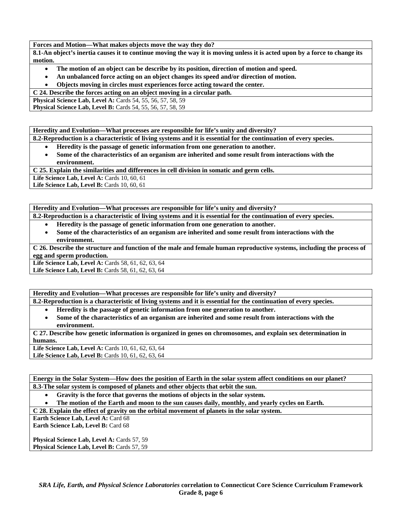**Forces and Motion—What makes objects move the way they do?** 

**8.1-An object's inertia causes it to continue moving the way it is moving unless it is acted upon by a force to change its motion.** 

- **The motion of an object can be describe by its position, direction of motion and speed.**
- **An unbalanced force acting on an object changes its speed and/or direction of motion.**
- **Objects moving in circles must experiences force acting toward the center.**

**C 24. Describe the forces acting on an object moving in a circular path.** 

**Physical Science Lab, Level A:** Cards 54, 55, 56, 57, 58, 59

**Physical Science Lab, Level B:** Cards 54, 55, 56, 57, 58, 59

**Heredity and Evolution—What processes are responsible for life's unity and diversity?** 

**8.2-Reproduction is a characteristic of living systems and it is essential for the continuation of every species.** 

• **Heredity is the passage of genetic information from one generation to another.** 

• **Some of the characteristics of an organism are inherited and some result from interactions with the environment.** 

**C 25. Explain the similarities and differences in cell division in somatic and germ cells.** 

**Life Science Lab, Level A: Cards 10, 60, 61** 

**Life Science Lab, Level B: Cards 10, 60, 61** 

**Heredity and Evolution—What processes are responsible for life's unity and diversity?** 

**8.2-Reproduction is a characteristic of living systems and it is essential for the continuation of every species.** 

- **Heredity is the passage of genetic information from one generation to another.**
- **Some of the characteristics of an organism are inherited and some result from interactions with the environment.**

**C 26. Describe the structure and function of the male and female human reproductive systems, including the process of egg and sperm production.** 

Life Science Lab, Level A: Cards 58, 61, 62, 63, 64

Life Science Lab, Level B: Cards 58, 61, 62, 63, 64

**Heredity and Evolution—What processes are responsible for life's unity and diversity?** 

**8.2-Reproduction is a characteristic of living systems and it is essential for the continuation of every species.** 

- **Heredity is the passage of genetic information from one generation to another.**
- **Some of the characteristics of an organism are inherited and some result from interactions with the environment.**

**C 27. Describe how genetic information is organized in genes on chromosomes, and explain sex determination in humans.** 

**Life Science Lab, Level A: Cards 10, 61, 62, 63, 64** Life Science Lab, Level B: Cards 10, 61, 62, 63, 64

**Energy in the Solar System—How does the position of Earth in the solar system affect conditions on our planet? 8.3-The solar system is composed of planets and other objects that orbit the sun.** 

• **Gravity is the force that governs the motions of objects in the solar system.** 

• **The motion of the Earth and moon to the sun causes daily, monthly, and yearly cycles on Earth.** 

**C 28. Explain the effect of gravity on the orbital movement of planets in the solar system.** 

**Earth Science Lab, Level A: Card 68 Earth Science Lab, Level B: Card 68** 

Physical Science Lab, Level A: Cards 57, 59 Physical Science Lab, Level B: Cards 57, 59